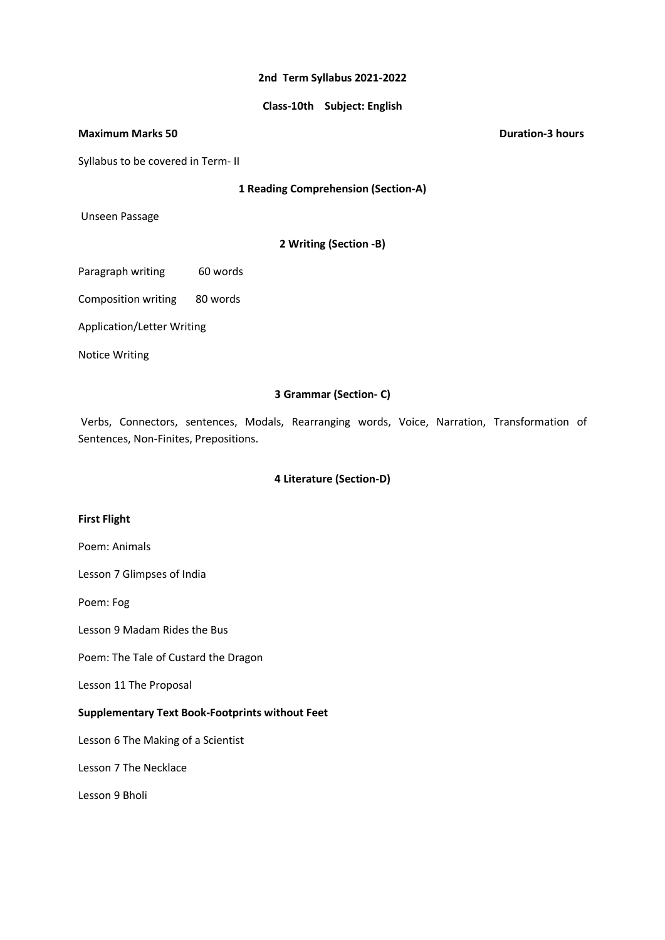#### **2nd Term Syllabus 2021-2022**

## **Class-10th Subject: English**

#### **Maximum Marks 50 Duration-3 hours**

Syllabus to be covered in Term- II

**1 Reading Comprehension (Section-A)**

Unseen Passage

**2 Writing (Section -B)**

Paragraph writing 60 words

Composition writing 80 words

Application/Letter Writing

Notice Writing

## **3 Grammar (Section- C)**

Verbs, Connectors, sentences, Modals, Rearranging words, Voice, Narration, Transformation of Sentences, Non-Finites, Prepositions.

#### **4 Literature (Section-D)**

### **First Flight**

Poem: Animals

Lesson 7 Glimpses of India

Poem: Fog

Lesson 9 Madam Rides the Bus

Poem: The Tale of Custard the Dragon

Lesson 11 The Proposal

#### **Supplementary Text Book-Footprints without Feet**

Lesson 6 The Making of a Scientist

Lesson 7 The Necklace

Lesson 9 Bholi